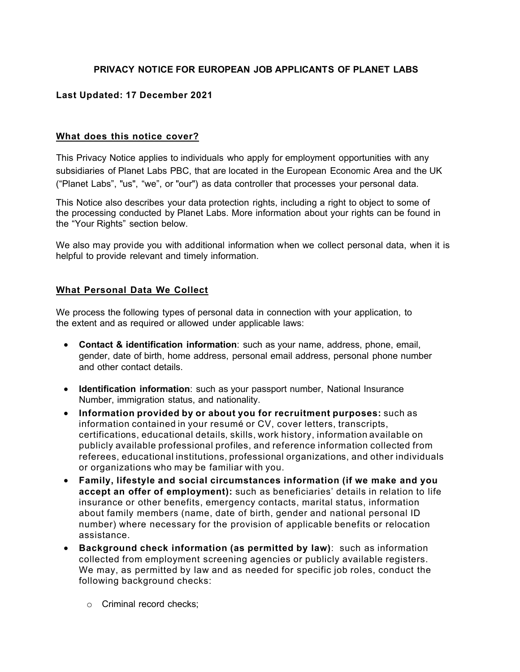### **PRIVACY NOTICE FOR EUROPEAN JOB APPLICANTS OF PLANET LABS**

### **Last Updated: 17 December 2021**

#### **What does this notice cover?**

This Privacy Notice applies to individuals who apply for employment opportunities with any subsidiaries of Planet Labs PBC, that are located in the European Economic Area and the UK ("Planet Labs", "us", "we", or "our") as data controller that processes your personal data.

This Notice also describes your data protection rights, including a right to object to some of the processing conducted by Planet Labs. More information about your rights can be found in the "Your Rights" section below.

We also may provide you with additional information when we collect personal data, when it is helpful to provide relevant and timely information.

#### **What Personal Data We Collect**

We process the following types of personal data in connection with your application, to the extent and as required or allowed under applicable laws:

- **Contact & identification information**: such as your name, address, phone, email, gender, date of birth, home address, personal email address, personal phone number and other contact details.
- **Identification information**: such as your passport number, National Insurance Number, immigration status, and nationality.
- **Information provided by or about you for recruitment purposes:** such as information contained in your resumé or CV, cover letters, transcripts, certifications, educational details, skills, work history, information available on publicly available professional profiles, and reference information collected from referees, educational institutions, professional organizations, and other individuals or organizations who may be familiar with you.
- **Family, lifestyle and social circumstances information (if we make and you accept an offer of employment):** such as beneficiaries' details in relation to life insurance or other benefits, emergency contacts, marital status, information about family members (name, date of birth, gender and national personal ID number) where necessary for the provision of applicable benefits or relocation assistance.
- **Background check information (as permitted by law)**: such as information collected from employment screening agencies or publicly available registers. We may, as permitted by law and as needed for specific job roles, conduct the following background checks:
	- o Criminal record checks;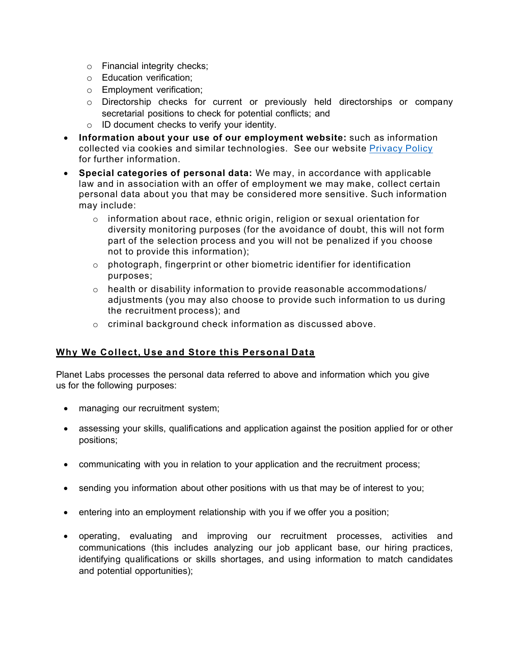- o Financial integrity checks;
- o Education verification;
- o Employment verification;
- o Directorship checks for current or previously held directorships or company secretarial positions to check for potential conflicts; and
- o ID document checks to verify your identity.
- **Information about your use of our employment website:** such as information collected via cookies and similar technologies. See our website [Privacy Policy](https://www.planet.com/privacy/) for further information.
- **Special categories of personal data:** We may, in accordance with applicable law and in association with an offer of employment we may make, collect certain personal data about you that may be considered more sensitive. Such information may include:
	- $\circ$  information about race, ethnic origin, religion or sexual orientation for diversity monitoring purposes (for the avoidance of doubt, this will not form part of the selection process and you will not be penalized if you choose not to provide this information);
	- $\circ$  photograph, fingerprint or other biometric identifier for identification purposes;
	- $\circ$  health or disability information to provide reasonable accommodations/ adjustments (you may also choose to provide such information to us during the recruitment process); and
	- o criminal background check information as discussed above.

# **Why We Collect, Use and Store this Personal Data**

Planet Labs processes the personal data referred to above and information which you give us for the following purposes:

- managing our recruitment system;
- assessing your skills, qualifications and application against the position applied for or other positions;
- communicating with you in relation to your application and the recruitment process;
- sending you information about other positions with us that may be of interest to you;
- entering into an employment relationship with you if we offer you a position;
- operating, evaluating and improving our recruitment processes, activities and communications (this includes analyzing our job applicant base, our hiring practices, identifying qualifications or skills shortages, and using information to match candidates and potential opportunities);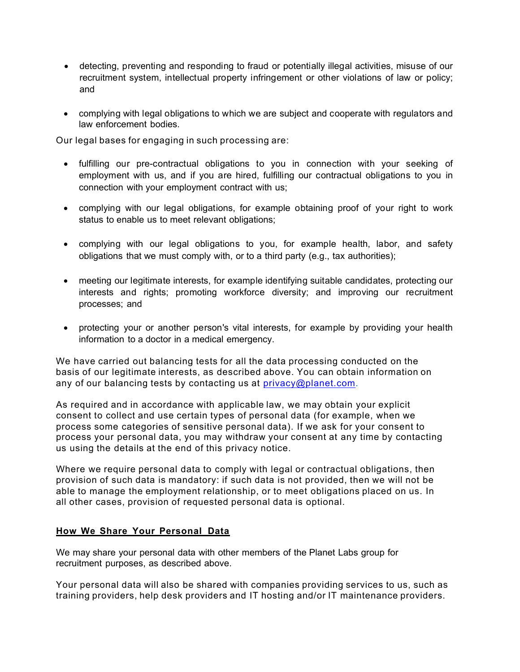- detecting, preventing and responding to fraud or potentially illegal activities, misuse of our recruitment system, intellectual property infringement or other violations of law or policy; and
- complying with legal obligations to which we are subject and cooperate with regulators and law enforcement bodies.

Our legal bases for engaging in such processing are:

- fulfilling our pre-contractual obligations to you in connection with your seeking of employment with us, and if you are hired, fulfilling our contractual obligations to you in connection with your employment contract with us;
- complying with our legal obligations, for example obtaining proof of your right to work status to enable us to meet relevant obligations;
- complying with our legal obligations to you, for example health, labor, and safety obligations that we must comply with, or to a third party (e.g., tax authorities);
- meeting our legitimate interests, for example identifying suitable candidates, protecting our interests and rights; promoting workforce diversity; and improving our recruitment processes; and
- protecting your or another person's vital interests, for example by providing your health information to a doctor in a medical emergency.

We have carried out balancing tests for all the data processing conducted on the basis of our legitimate interests, as described above. You can obtain information on any of our balancing tests by contacting us at [privacy@planet.com.](mailto:privacy@planet.com)

As required and in accordance with applicable law, we may obtain your explicit consent to collect and use certain types of personal data (for example, when we process some categories of sensitive personal data). If we ask for your consent to process your personal data, you may withdraw your consent at any time by contacting us using the details at the end of this privacy notice.

Where we require personal data to comply with legal or contractual obligations, then provision of such data is mandatory: if such data is not provided, then we will not be able to manage the employment relationship, or to meet obligations placed on us. In all other cases, provision of requested personal data is optional.

### **How We Share Your Personal Data**

We may share your personal data with other members of the Planet Labs group for recruitment purposes, as described above.

Your personal data will also be shared with companies providing services to us, such as training providers, help desk providers and IT hosting and/or IT maintenance providers.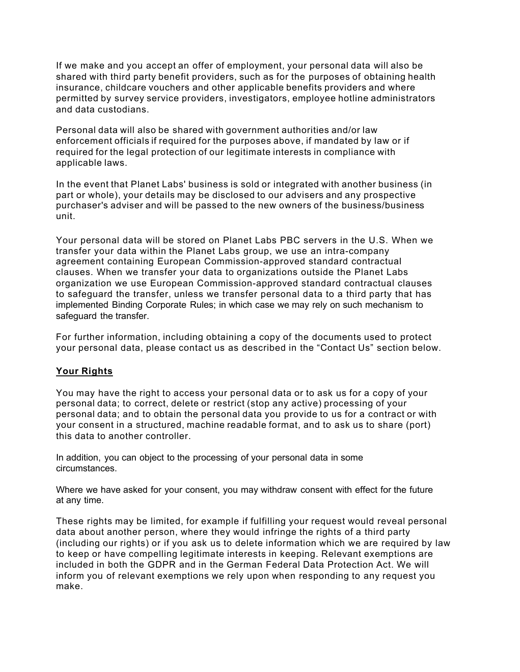If we make and you accept an offer of employment, your personal data will also be shared with third party benefit providers, such as for the purposes of obtaining health insurance, childcare vouchers and other applicable benefits providers and where permitted by survey service providers, investigators, employee hotline administrators and data custodians.

Personal data will also be shared with government authorities and/or law enforcement officials if required for the purposes above, if mandated by law or if required for the legal protection of our legitimate interests in compliance with applicable laws.

In the event that Planet Labs' business is sold or integrated with another business (in part or whole), your details may be disclosed to our advisers and any prospective purchaser's adviser and will be passed to the new owners of the business/business unit.

Your personal data will be stored on Planet Labs PBC servers in the U.S. When we transfer your data within the Planet Labs group, we use an intra-company agreement containing European Commission-approved standard contractual clauses. When we transfer your data to organizations outside the Planet Labs organization we use European Commission-approved standard contractual clauses to safeguard the transfer, unless we transfer personal data to a third party that has implemented Binding Corporate Rules; in which case we may rely on such mechanism to safeguard the transfer.

For further information, including obtaining a copy of the documents used to protect your personal data, please contact us as described in the "Contact Us" section below.

# **Your Rights**

You may have the right to access your personal data or to ask us for a copy of your personal data; to correct, delete or restrict (stop any active) processing of your personal data; and to obtain the personal data you provide to us for a contract or with your consent in a structured, machine readable format, and to ask us to share (port) this data to another controller.

In addition, you can object to the processing of your personal data in some circumstances.

Where we have asked for your consent, you may withdraw consent with effect for the future at any time.

These rights may be limited, for example if fulfilling your request would reveal personal data about another person, where they would infringe the rights of a third party (including our rights) or if you ask us to delete information which we are required by law to keep or have compelling legitimate interests in keeping. Relevant exemptions are included in both the GDPR and in the German Federal Data Protection Act. We will inform you of relevant exemptions we rely upon when responding to any request you make.